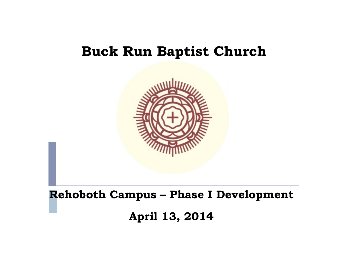### **Buck Run Baptist Church**

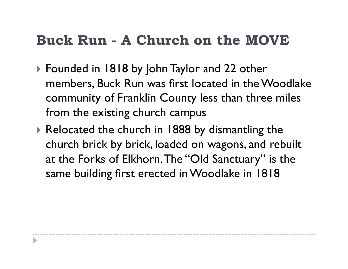## **Buck Run - A Church on the MOVE**

- ▶ Founded in 1818 by John Taylor and 22 other members, Buck Run was first located in the Woodlake community of Franklin County less than three miles from the existing church campus
- ▶ Relocated the church in 1888 by dismantling the church brick by brick, loaded on wagons, and rebuilt at the Forks of Elkhorn. The "Old Sanctuary" is the same building first erected in Woodlake in 1818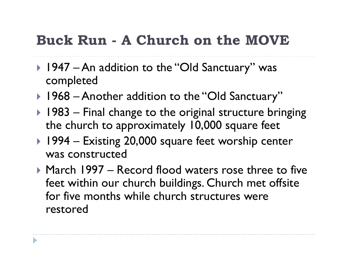## **Buck Run - A Church on the MOVE**

- ▶ 1947 An addition to the "Old Sanctuary" was completed
- ▶ 1968 Another addition to the "Old Sanctuary"
- $\blacktriangleright$  1983 Final change to the original structure bringing the church to approximately 10,000 square feet
- ▶ 1994 Existing 20,000 square feet worship center was constructed
- ! March 1997 Record flood waters rose three to five feet within our church buildings. Church met offsite for five months while church structures were restored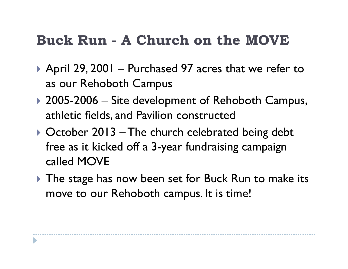## **Buck Run - A Church on the MOVE**

- ▶ April 29, 2001 Purchased 97 acres that we refer to as our Rehoboth Campus
- ▶ 2005-2006 Site development of Rehoboth Campus, athletic fields, and Pavilion constructed
- ▶ October 2013 The church celebrated being debt free as it kicked off a 3-year fundraising campaign called MOVE
- If The stage has now been set for Buck Run to make its move to our Rehoboth campus. It is time!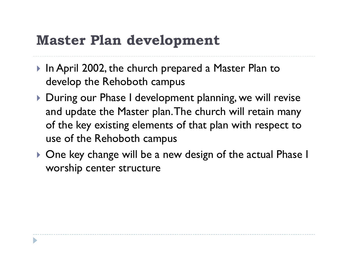## **Master Plan development**

- ▶ In April 2002, the church prepared a Master Plan to develop the Rehoboth campus
- ! During our Phase I development planning, we will revise and update the Master plan. The church will retain many of the key existing elements of that plan with respect to use of the Rehoboth campus
- ! One key change will be a new design of the actual Phase I worship center structure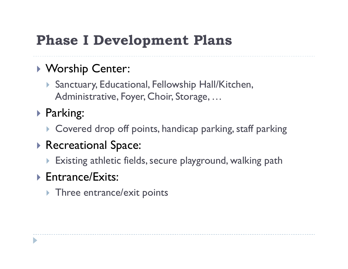## **Phase I Development Plans**

### ! Worship Center:

- **Sanctuary, Educational, Fellowship Hall/Kitchen,** Administrative, Foyer, Choir, Storage, …
- ▶ Parking:
	- **I** Covered drop off points, handicap parking, staff parking

### **Recreational Space:**

 $\triangleright$  Existing athletic fields, secure playground, walking path

#### ▶ Entrance/Exits:

 $\triangleright$  Three entrance/exit points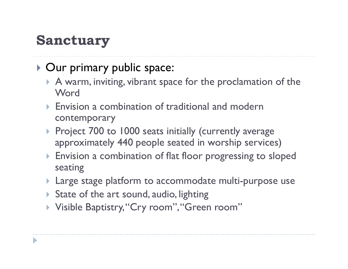## **Sanctuary**

### **Dur primary public space:**

- $\triangleright$  A warm, inviting, vibrant space for the proclamation of the **Word**
- $\triangleright$  Envision a combination of traditional and modern contemporary
- **Project 700 to 1000 seats initially (currently average)** approximately 440 people seated in worship services)
- Envision a combination of flat floor progressing to sloped seating
- **If** Large stage platform to accommodate multi-purpose use
- $\triangleright$  State of the art sound, audio, lighting
- ▶ Visible Baptistry, "Cry room", "Green room"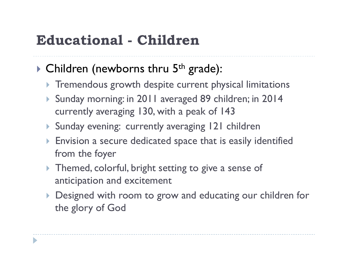## **Educational - Children**

### $\triangleright$  Children (newborns thru 5<sup>th</sup> grade):

- **If Tremendous growth despite current physical limitations**
- ! Sunday morning: in 2011 averaged 89 children; in 2014 currently averaging 130, with a peak of 143
- **Sunday evening: currently averaging 121 children**
- Envision a secure dedicated space that is easily identified from the foyer
- Themed, colorful, bright setting to give a sense of anticipation and excitement
- Designed with room to grow and educating our children for the glory of God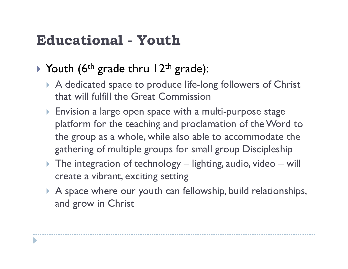## **Educational - Youth**

### $\triangleright$  Youth (6<sup>th</sup> grade thru 12<sup>th</sup> grade):

- ▶ A dedicated space to produce life-long followers of Christ that will fulfill the Great Commission
- Envision a large open space with a multi-purpose stage platform for the teaching and proclamation of the Word to the group as a whole, while also able to accommodate the gathering of multiple groups for small group Discipleship
- $\triangleright$  The integration of technology lighting, audio, video will create a vibrant, exciting setting
- $\triangleright$  A space where our youth can fellowship, build relationships, and grow in Christ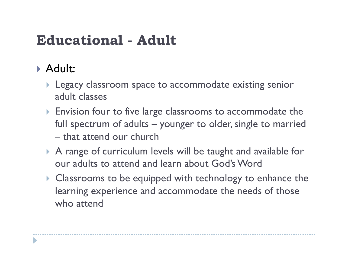## **Educational - Adult**

### ! Adult:

- **I** Legacy classroom space to accommodate existing senior adult classes
- **Envision four to five large classrooms to accommodate the** full spectrum of adults – younger to older, single to married – that attend our church
- ! A range of curriculum levels will be taught and available for our adults to attend and learn about God's Word
- ! Classrooms to be equipped with technology to enhance the learning experience and accommodate the needs of those who attend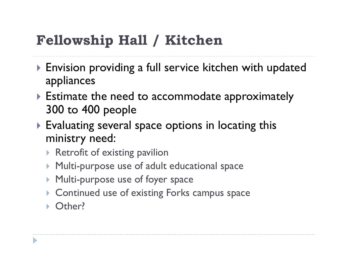# **Fellowship Hall / Kitchen**

- ▶ Envision providing a full service kitchen with updated appliances
- $\triangleright$  Estimate the need to accommodate approximately 300 to 400 people
- **Evaluating several space options in locating this** ministry need:
	- $\triangleright$  Retrofit of existing pavilion
	- Multi-purpose use of adult educational space
	- Multi-purpose use of foyer space
	- ! Continued use of existing Forks campus space
	- Other?

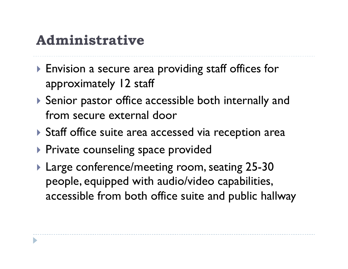## **Administrative**

- ▶ Envision a secure area providing staff offices for approximately 12 staff
- ▶ Senior pastor office accessible both internally and from secure external door
- ▶ Staff office suite area accessed via reception area
- **Private counseling space provided**
- **Large conference/meeting room, seating 25-30** people, equipped with audio/video capabilities, accessible from both office suite and public hallway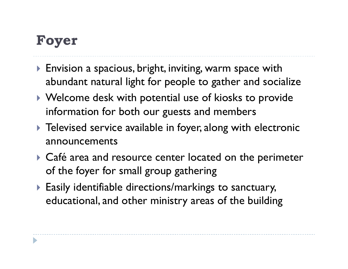## **Foyer**

- **Envision a spacious, bright, inviting, warm space with** abundant natural light for people to gather and socialize
- ! Welcome desk with potential use of kiosks to provide information for both our guests and members
- **Televised service available in foyer, along with electronic** announcements
- ▶ Café area and resource center located on the perimeter of the foyer for small group gathering
- ! Easily identifiable directions/markings to sanctuary, educational, and other ministry areas of the building

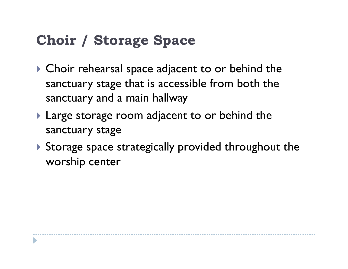## **Choir / Storage Space**

- $\triangleright$  Choir rehearsal space adjacent to or behind the sanctuary stage that is accessible from both the sanctuary and a main hallway
- ▶ Large storage room adjacent to or behind the sanctuary stage
- ▶ Storage space strategically provided throughout the worship center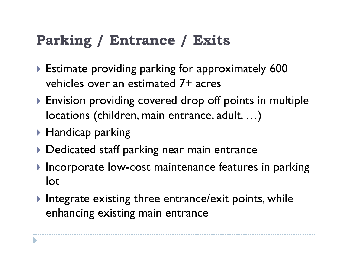## **Parking / Entrance / Exits**

- ▶ Estimate providing parking for approximately 600 vehicles over an estimated 7+ acres
- ▶ Envision providing covered drop off points in multiple locations (children, main entrance, adult, …)
- **Handicap parking**
- **Dedicated staff parking near main entrance**
- Incorporate low-cost maintenance features in parking lot
- $\blacktriangleright$  Integrate existing three entrance/exit points, while enhancing existing main entrance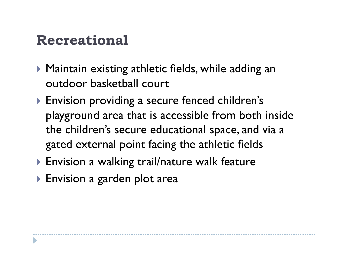## **Recreational**

- ▶ Maintain existing athletic fields, while adding an outdoor basketball court
- ! Envision providing a secure fenced children's playground area that is accessible from both inside the children's secure educational space, and via a gated external point facing the athletic fields
- ▶ Envision a walking trail/nature walk feature
- ▶ Envision a garden plot area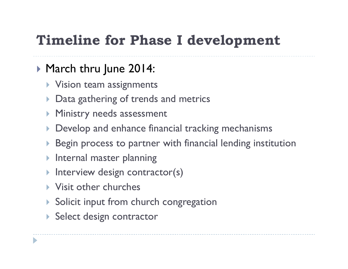## **Timeline for Phase I development**

### ▶ March thru June 2014:

- $\triangleright$  Vision team assignments
- Data gathering of trends and metrics
- **Ministry needs assessment**
- Develop and enhance financial tracking mechanisms
- Begin process to partner with financial lending institution
- Internal master planning
- Interview design contractor(s)
- **Visit other churches**
- **Solicit input from church congregation**
- Select design contractor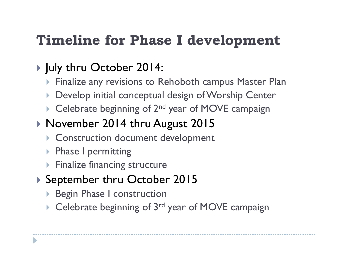## **Timeline for Phase I development**

### ▶ July thru October 2014:

- Finalize any revisions to Rehoboth campus Master Plan
- Develop initial conceptual design of Worship Center
- $\triangleright$  Celebrate beginning of 2<sup>nd</sup> year of MOVE campaign

### ▶ November 2014 thru August 2015

- **Construction document development**
- **Phase I permitting**
- **Finalize financing structure**

### ▶ September thru October 2015

- **Begin Phase I construction**
- Celebrate beginning of 3<sup>rd</sup> year of MOVE campaign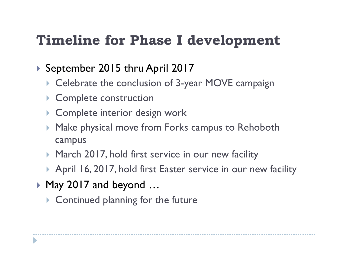## **Timeline for Phase I development**

#### ▶ September 2015 thru April 2017

- **Celebrate the conclusion of 3-year MOVE campaign**
- **Complete construction**
- **Complete interior design work**
- Make physical move from Forks campus to Rehoboth campus
- March 2017, hold first service in our new facility
- ▶ April 16, 2017, hold first Easter service in our new facility
- ▶ May 2017 and beyond ...
	- $\triangleright$  Continued planning for the future